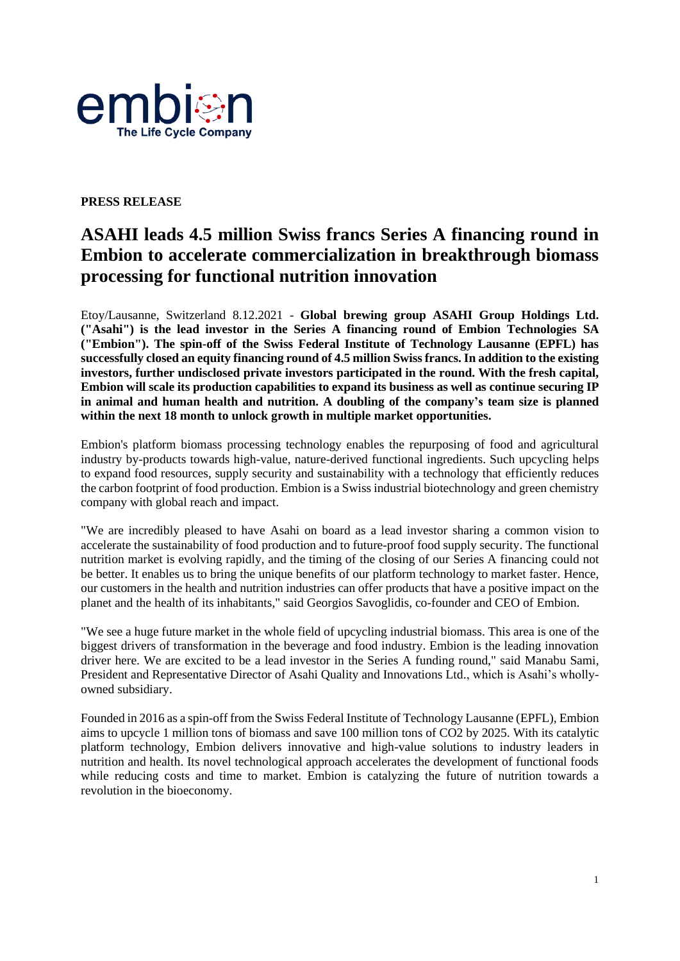

## **PRESS RELEASE**

# **ASAHI leads 4.5 million Swiss francs Series A financing round in Embion to accelerate commercialization in breakthrough biomass processing for functional nutrition innovation**

Etoy/Lausanne, Switzerland 8.12.2021 - **Global brewing group ASAHI Group Holdings Ltd. ("Asahi") is the lead investor in the Series A financing round of Embion Technologies SA ("Embion"). The spin-off of the Swiss Federal Institute of Technology Lausanne (EPFL) has successfully closed an equity financing round of 4.5 million Swiss francs. In addition to the existing investors, further undisclosed private investors participated in the round. With the fresh capital, Embion will scale its production capabilities to expand its business as well as continue securing IP in animal and human health and nutrition. A doubling of the company's team size is planned within the next 18 month to unlock growth in multiple market opportunities.**

Embion's platform biomass processing technology enables the repurposing of food and agricultural industry by-products towards high-value, nature-derived functional ingredients. Such upcycling helps to expand food resources, supply security and sustainability with a technology that efficiently reduces the carbon footprint of food production. Embion is a Swiss industrial biotechnology and green chemistry company with global reach and impact.

"We are incredibly pleased to have Asahi on board as a lead investor sharing a common vision to accelerate the sustainability of food production and to future-proof food supply security. The functional nutrition market is evolving rapidly, and the timing of the closing of our Series A financing could not be better. It enables us to bring the unique benefits of our platform technology to market faster. Hence, our customers in the health and nutrition industries can offer products that have a positive impact on the planet and the health of its inhabitants," said Georgios Savoglidis, co-founder and CEO of Embion.

"We see a huge future market in the whole field of upcycling industrial biomass. This area is one of the biggest drivers of transformation in the beverage and food industry. Embion is the leading innovation driver here. We are excited to be a lead investor in the Series A funding round," said Manabu Sami, President and Representative Director of Asahi Quality and Innovations Ltd., which is Asahi's whollyowned subsidiary.

Founded in 2016 as a spin-off from the Swiss Federal Institute of Technology Lausanne (EPFL), Embion aims to upcycle 1 million tons of biomass and save 100 million tons of CO2 by 2025. With its catalytic platform technology, Embion delivers innovative and high-value solutions to industry leaders in nutrition and health. Its novel technological approach accelerates the development of functional foods while reducing costs and time to market. Embion is catalyzing the future of nutrition towards a revolution in the bioeconomy.